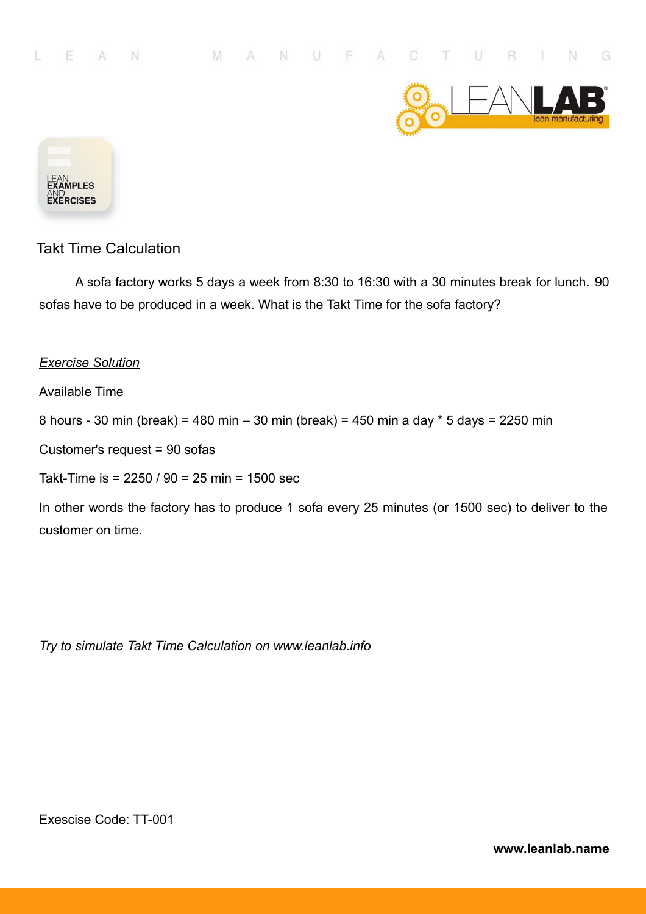



A sofa factory works 5 days a week from 8:30 to 16:30 with a 30 minutes break for lunch. 90 sofas have to be produced in a week. What is the Takt Time for the sofa factory?

#### *Exercise Solution*

Available Time

8 hours - 30 min (break) = 480 min – 30 min (break) = 450 min a day \* 5 days = 2250 min

Customer's request = 90 sofas

Takt-Time is = 2250 / 90 = 25 min = 1500 sec

In other words the factory has to produce 1 sofa every 25 minutes (or 1500 sec) to deliver to the customer on time.

*Try to simulate Takt Time Calculation on www.leanlab.info*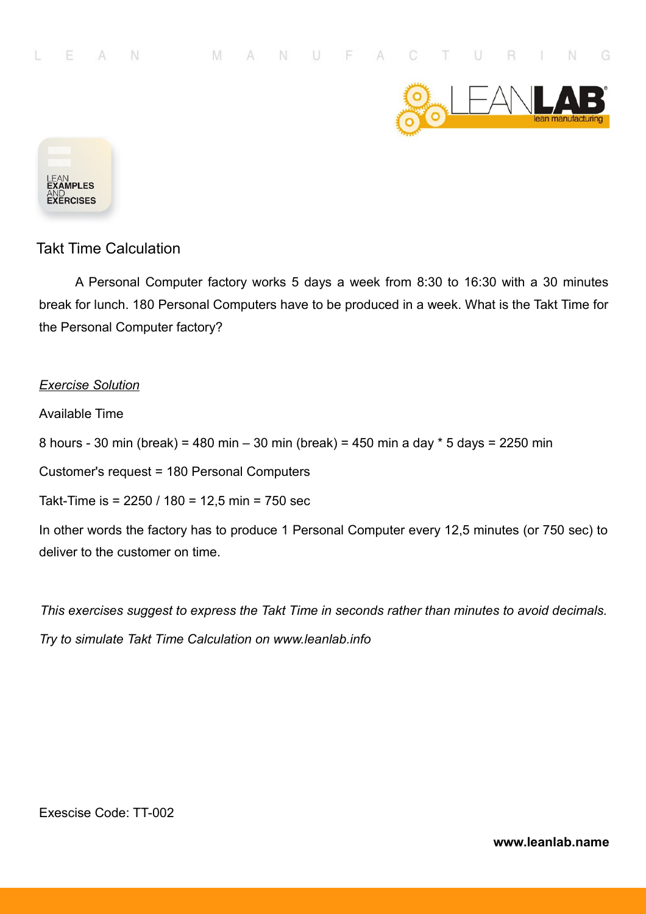



A Personal Computer factory works 5 days a week from 8:30 to 16:30 with a 30 minutes break for lunch. 180 Personal Computers have to be produced in a week. What is the Takt Time for the Personal Computer factory?

#### *Exercise Solution*

Available Time

8 hours - 30 min (break) = 480 min – 30 min (break) = 450 min a day \* 5 days = 2250 min

Customer's request = 180 Personal Computers

Takt-Time is = 2250 / 180 = 12,5 min = 750 sec

In other words the factory has to produce 1 Personal Computer every 12,5 minutes (or 750 sec) to deliver to the customer on time.

*This exercises suggest to express the Takt Time in seconds rather than minutes to avoid decimals.*

*Try to simulate Takt Time Calculation on www.leanlab.info*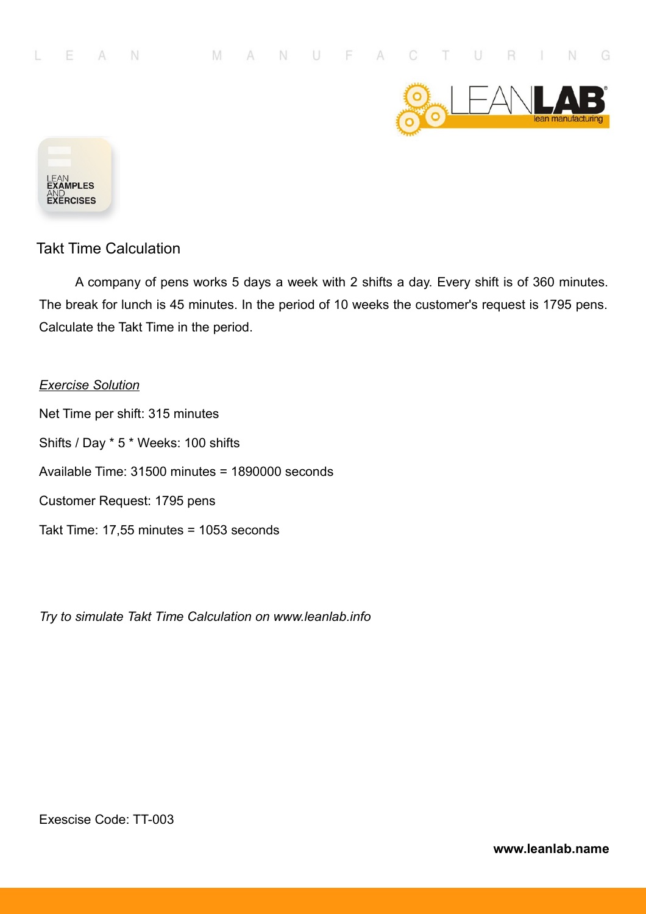



A company of pens works 5 days a week with 2 shifts a day. Every shift is of 360 minutes. The break for lunch is 45 minutes. In the period of 10 weeks the customer's request is 1795 pens. Calculate the Takt Time in the period.

*Exercise Solution* Net Time per shift: 315 minutes Shifts / Day \* 5 \* Weeks: 100 shifts Available Time: 31500 minutes = 1890000 seconds Customer Request: 1795 pens Takt Time: 17,55 minutes = 1053 seconds

*Try to simulate Takt Time Calculation on www.leanlab.info*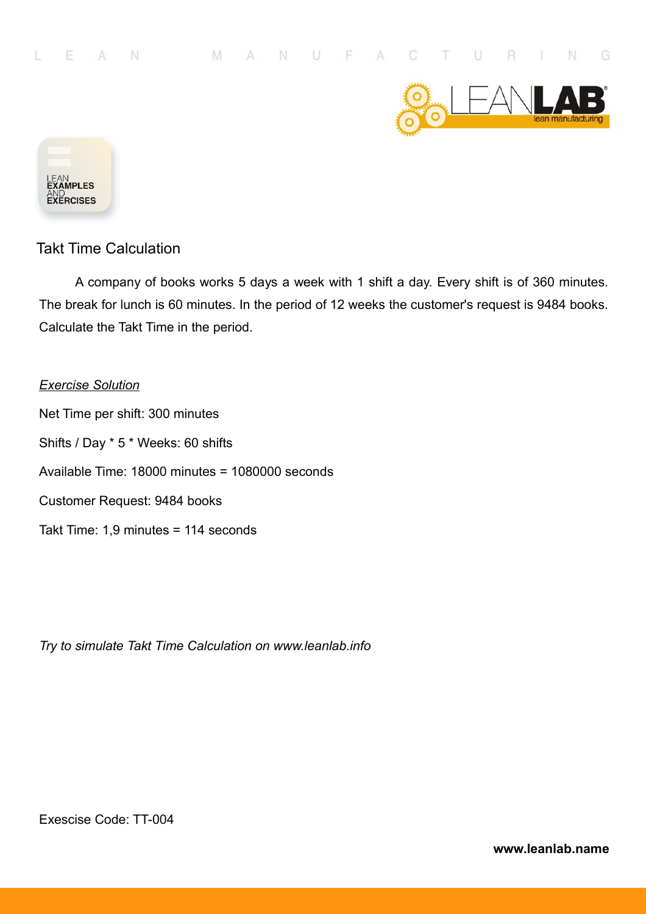



A company of books works 5 days a week with 1 shift a day. Every shift is of 360 minutes. The break for lunch is 60 minutes. In the period of 12 weeks the customer's request is 9484 books. Calculate the Takt Time in the period.

*Exercise Solution* Net Time per shift: 300 minutes Shifts / Day \* 5 \* Weeks: 60 shifts Available Time: 18000 minutes = 1080000 seconds Customer Request: 9484 books Takt Time: 1,9 minutes = 114 seconds

*Try to simulate Takt Time Calculation on www.leanlab.info*

Exescise Code: TT-004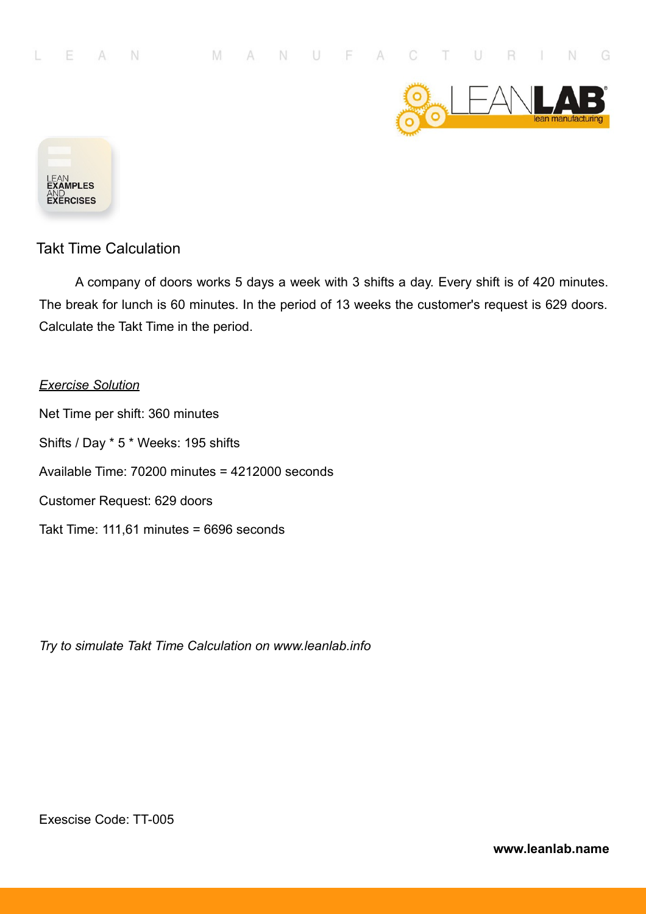



A company of doors works 5 days a week with 3 shifts a day. Every shift is of 420 minutes. The break for lunch is 60 minutes. In the period of 13 weeks the customer's request is 629 doors. Calculate the Takt Time in the period.

# *Exercise Solution* Net Time per shift: 360 minutes Shifts / Day \* 5 \* Weeks: 195 shifts Available Time: 70200 minutes = 4212000 seconds Customer Request: 629 doors Takt Time: 111,61 minutes = 6696 seconds

*Try to simulate Takt Time Calculation on www.leanlab.info*

Exescise Code: TT-005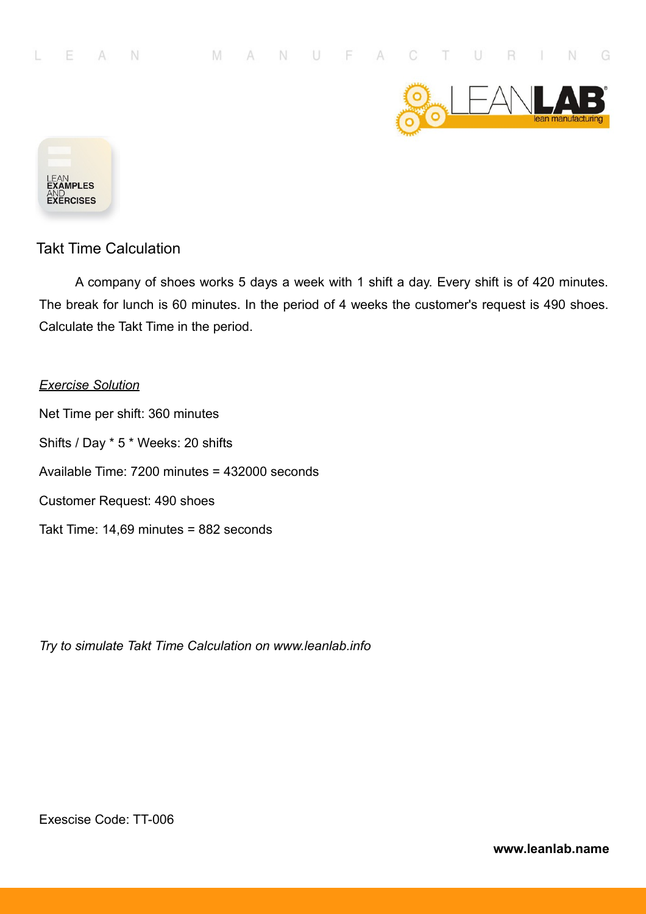



A company of shoes works 5 days a week with 1 shift a day. Every shift is of 420 minutes. The break for lunch is 60 minutes. In the period of 4 weeks the customer's request is 490 shoes. Calculate the Takt Time in the period.

*Exercise Solution* Net Time per shift: 360 minutes Shifts / Day \* 5 \* Weeks: 20 shifts Available Time: 7200 minutes = 432000 seconds Customer Request: 490 shoes Takt Time: 14,69 minutes = 882 seconds

*Try to simulate Takt Time Calculation on www.leanlab.info*

Exescise Code: TT-006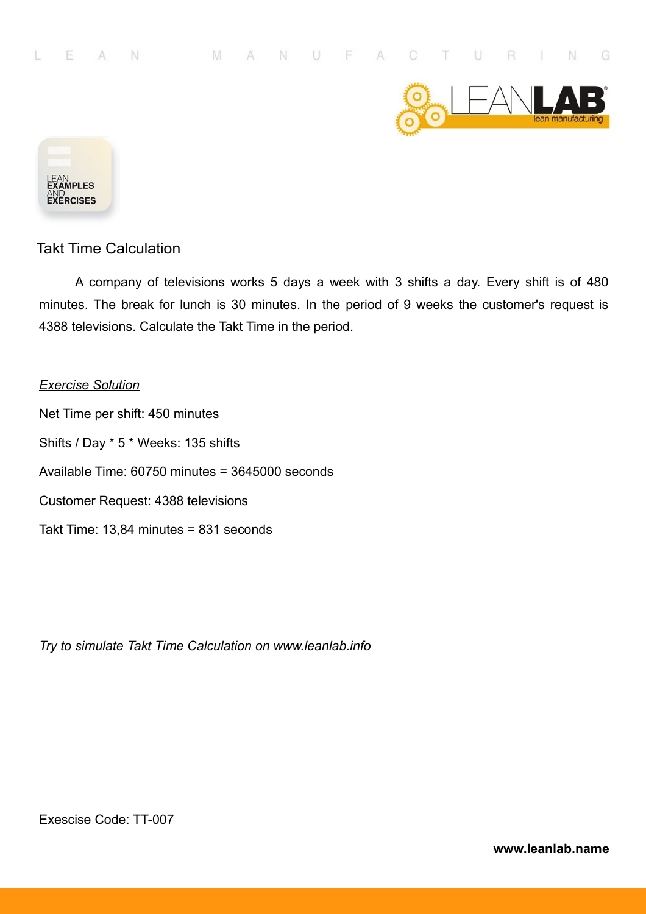



A company of televisions works 5 days a week with 3 shifts a day. Every shift is of 480 minutes. The break for lunch is 30 minutes. In the period of 9 weeks the customer's request is 4388 televisions. Calculate the Takt Time in the period.

#### *Exercise Solution*

Net Time per shift: 450 minutes Shifts / Day \* 5 \* Weeks: 135 shifts Available Time: 60750 minutes = 3645000 seconds Customer Request: 4388 televisions Takt Time: 13,84 minutes = 831 seconds

*Try to simulate Takt Time Calculation on www.leanlab.info*

Exescise Code: TT-007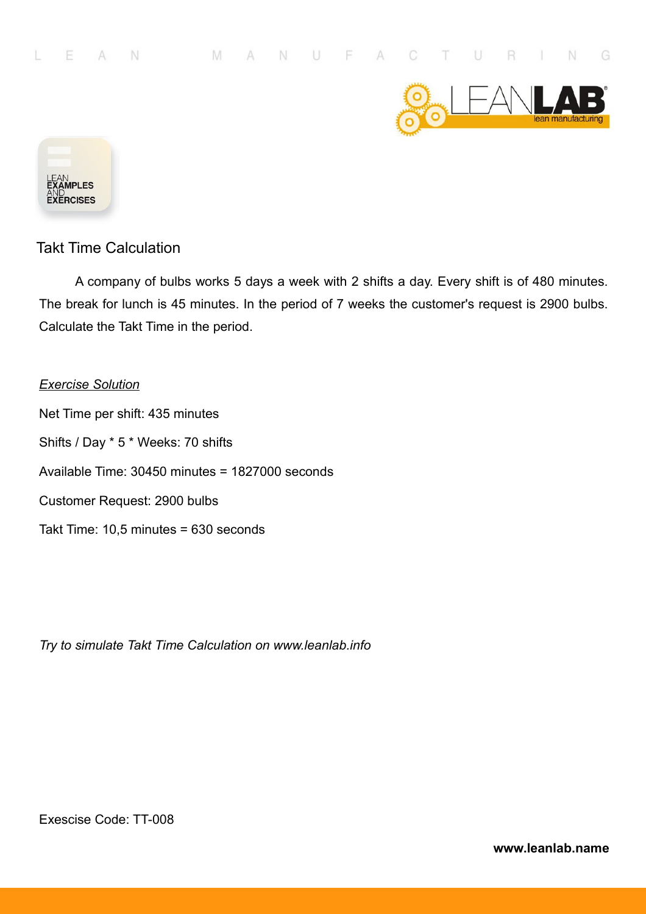



A company of bulbs works 5 days a week with 2 shifts a day. Every shift is of 480 minutes. The break for lunch is 45 minutes. In the period of 7 weeks the customer's request is 2900 bulbs. Calculate the Takt Time in the period.

*Exercise Solution* Net Time per shift: 435 minutes Shifts / Day \* 5 \* Weeks: 70 shifts Available Time: 30450 minutes = 1827000 seconds Customer Request: 2900 bulbs Takt Time: 10,5 minutes = 630 seconds

*Try to simulate Takt Time Calculation on www.leanlab.info*

Exescise Code: TT-008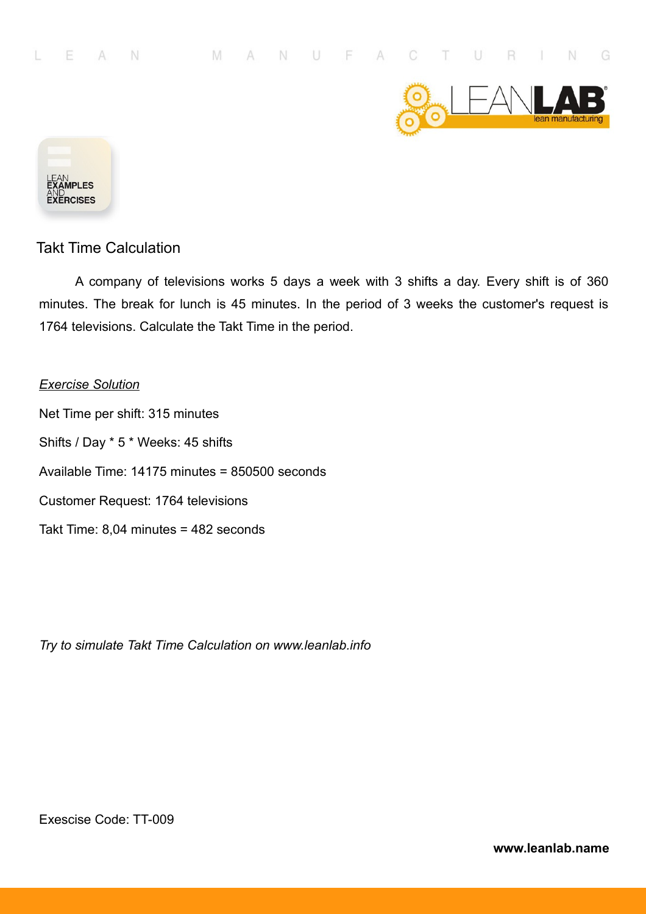



A company of televisions works 5 days a week with 3 shifts a day. Every shift is of 360 minutes. The break for lunch is 45 minutes. In the period of 3 weeks the customer's request is 1764 televisions. Calculate the Takt Time in the period.

#### *Exercise Solution*

Net Time per shift: 315 minutes Shifts / Day \* 5 \* Weeks: 45 shifts Available Time: 14175 minutes = 850500 seconds Customer Request: 1764 televisions Takt Time: 8,04 minutes = 482 seconds

*Try to simulate Takt Time Calculation on www.leanlab.info*

Exescise Code: TT-009